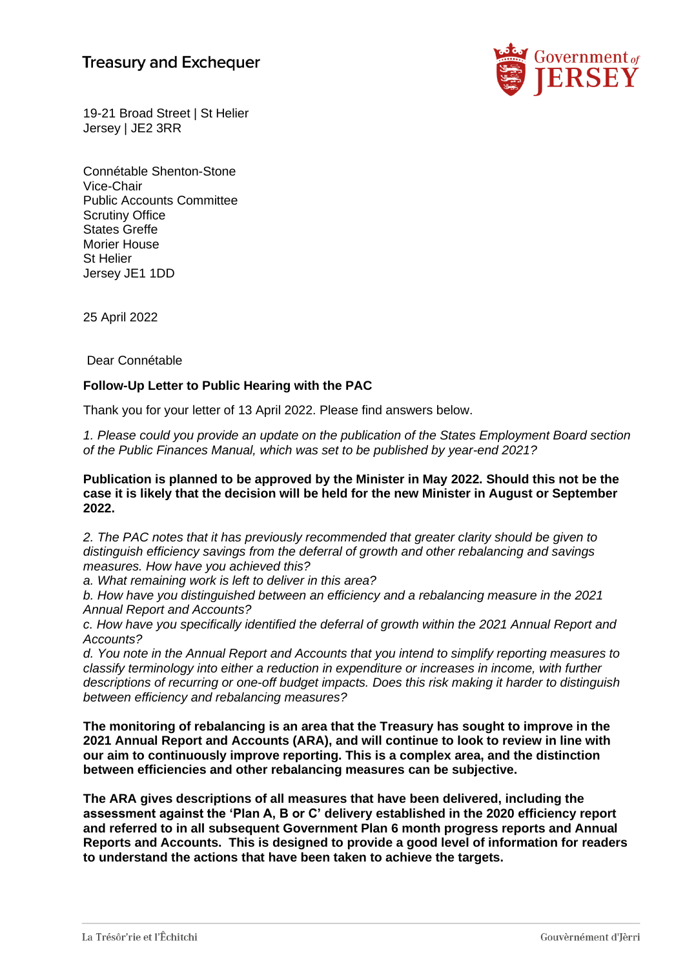# **Treasury and Exchequer**



19-21 Broad Street | St Helier Jersey | JE2 3RR

Connétable Shenton-Stone Vice-Chair Public Accounts Committee Scrutiny Office States Greffe Morier House St Helier Jersey JE1 1DD

25 April 2022

Dear Connétable

## **Follow-Up Letter to Public Hearing with the PAC**

Thank you for your letter of 13 April 2022. Please find answers below.

*1. Please could you provide an update on the publication of the States Employment Board section of the Public Finances Manual, which was set to be published by year-end 2021?*

**Publication is planned to be approved by the Minister in May 2022. Should this not be the case it is likely that the decision will be held for the new Minister in August or September 2022.**

*2. The PAC notes that it has previously recommended that greater clarity should be given to distinguish efficiency savings from the deferral of growth and other rebalancing and savings measures. How have you achieved this?*

*a. What remaining work is left to deliver in this area?*

*b. How have you distinguished between an efficiency and a rebalancing measure in the 2021 Annual Report and Accounts?*

*c. How have you specifically identified the deferral of growth within the 2021 Annual Report and Accounts?*

*d. You note in the Annual Report and Accounts that you intend to simplify reporting measures to classify terminology into either a reduction in expenditure or increases in income, with further descriptions of recurring or one-off budget impacts. Does this risk making it harder to distinguish between efficiency and rebalancing measures?*

**The monitoring of rebalancing is an area that the Treasury has sought to improve in the 2021 Annual Report and Accounts (ARA), and will continue to look to review in line with our aim to continuously improve reporting. This is a complex area, and the distinction between efficiencies and other rebalancing measures can be subjective.** 

**The ARA gives descriptions of all measures that have been delivered, including the assessment against the 'Plan A, B or C' delivery established in the 2020 efficiency report and referred to in all subsequent Government Plan 6 month progress reports and Annual Reports and Accounts. This is designed to provide a good level of information for readers to understand the actions that have been taken to achieve the targets.**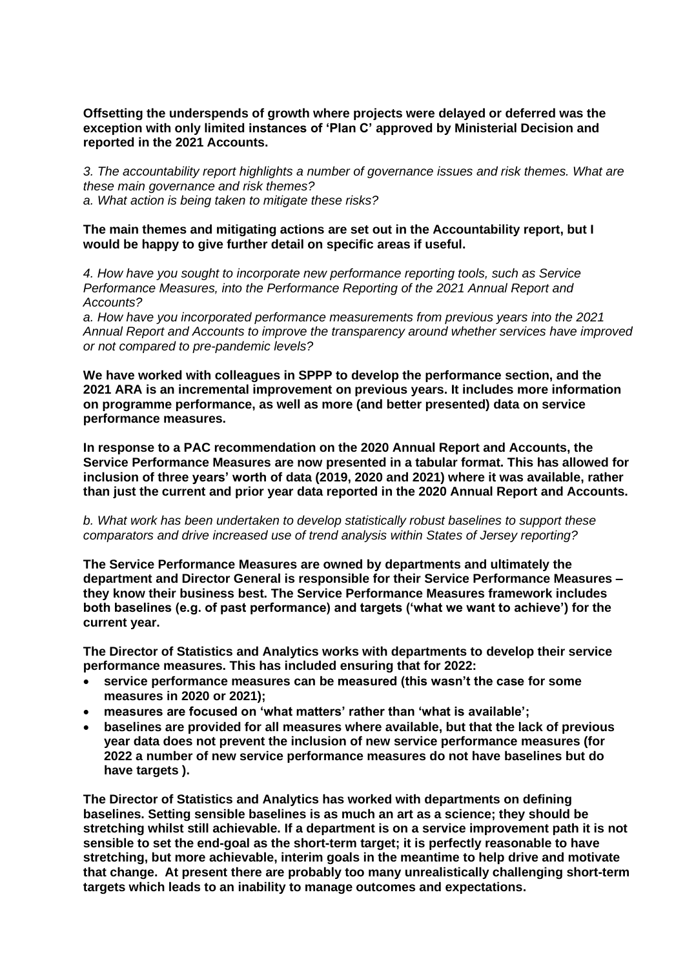#### **Offsetting the underspends of growth where projects were delayed or deferred was the exception with only limited instances of 'Plan C' approved by Ministerial Decision and reported in the 2021 Accounts.**

*3. The accountability report highlights a number of governance issues and risk themes. What are these main governance and risk themes? a. What action is being taken to mitigate these risks?*

#### **The main themes and mitigating actions are set out in the Accountability report, but I would be happy to give further detail on specific areas if useful.**

*4. How have you sought to incorporate new performance reporting tools, such as Service Performance Measures, into the Performance Reporting of the 2021 Annual Report and Accounts?*

*a. How have you incorporated performance measurements from previous years into the 2021 Annual Report and Accounts to improve the transparency around whether services have improved or not compared to pre-pandemic levels?*

**We have worked with colleagues in SPPP to develop the performance section, and the 2021 ARA is an incremental improvement on previous years. It includes more information on programme performance, as well as more (and better presented) data on service performance measures.**

**In response to a PAC recommendation on the 2020 Annual Report and Accounts, the Service Performance Measures are now presented in a tabular format. This has allowed for inclusion of three years' worth of data (2019, 2020 and 2021) where it was available, rather than just the current and prior year data reported in the 2020 Annual Report and Accounts.**

*b. What work has been undertaken to develop statistically robust baselines to support these comparators and drive increased use of trend analysis within States of Jersey reporting?*

**The Service Performance Measures are owned by departments and ultimately the department and Director General is responsible for their Service Performance Measures – they know their business best. The Service Performance Measures framework includes both baselines (e.g. of past performance) and targets ('what we want to achieve') for the current year.**

**The Director of Statistics and Analytics works with departments to develop their service performance measures. This has included ensuring that for 2022:**

- **service performance measures can be measured (this wasn't the case for some measures in 2020 or 2021);**
- **measures are focused on 'what matters' rather than 'what is available';**
- **baselines are provided for all measures where available, but that the lack of previous year data does not prevent the inclusion of new service performance measures (for 2022 a number of new service performance measures do not have baselines but do have targets ).**

**The Director of Statistics and Analytics has worked with departments on defining baselines. Setting sensible baselines is as much an art as a science; they should be stretching whilst still achievable. If a department is on a service improvement path it is not sensible to set the end-goal as the short-term target; it is perfectly reasonable to have stretching, but more achievable, interim goals in the meantime to help drive and motivate that change. At present there are probably too many unrealistically challenging short-term targets which leads to an inability to manage outcomes and expectations.**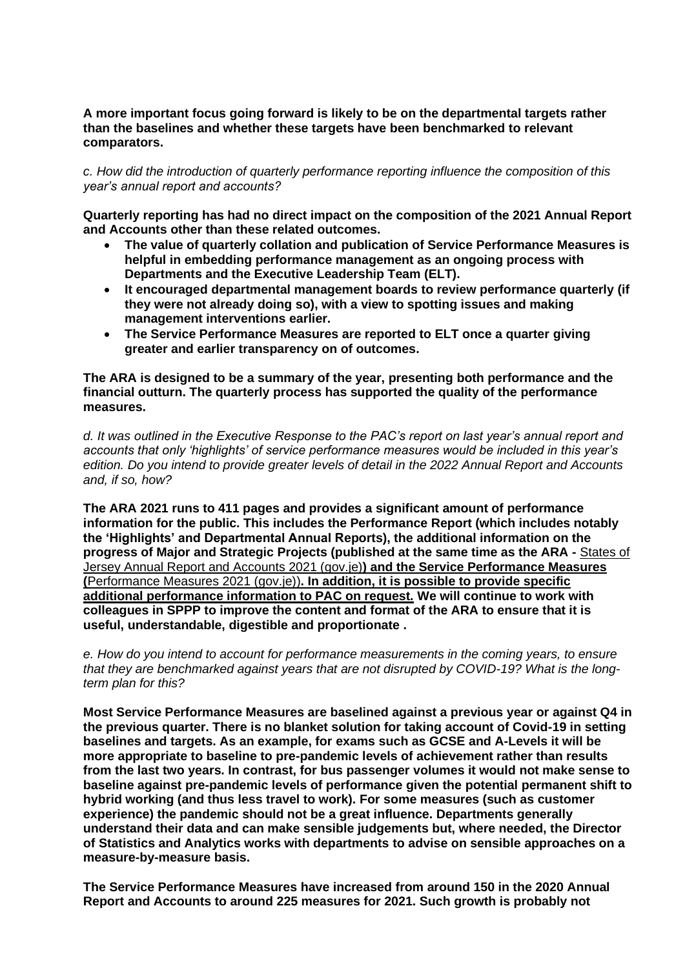### **A more important focus going forward is likely to be on the departmental targets rather than the baselines and whether these targets have been benchmarked to relevant comparators.**

*c. How did the introduction of quarterly performance reporting influence the composition of this year's annual report and accounts?*

**Quarterly reporting has had no direct impact on the composition of the 2021 Annual Report and Accounts other than these related outcomes.**

- **The value of quarterly collation and publication of Service Performance Measures is helpful in embedding performance management as an ongoing process with Departments and the Executive Leadership Team (ELT).**
- **It encouraged departmental management boards to review performance quarterly (if they were not already doing so), with a view to spotting issues and making management interventions earlier.**
- **The Service Performance Measures are reported to ELT once a quarter giving greater and earlier transparency on of outcomes.**

**The ARA is designed to be a summary of the year, presenting both performance and the financial outturn. The quarterly process has supported the quality of the performance measures.** 

*d. It was outlined in the Executive Response to the PAC's report on last year's annual report and accounts that only 'highlights' of service performance measures would be included in this year's edition. Do you intend to provide greater levels of detail in the 2022 Annual Report and Accounts and, if so, how?*

**The ARA 2021 runs to 411 pages and provides a significant amount of performance information for the public. This includes the Performance Report (which includes notably the 'Highlights' and Departmental Annual Reports), the additional information on the progress of Major and Strategic Projects (published at the same time as the ARA -** [States of](https://www.gov.je/government/planningperformance/budgetaccounts/2021/Pages/index.aspx)  [Jersey Annual Report and Accounts 2021 \(gov.je\)](https://www.gov.je/government/planningperformance/budgetaccounts/2021/Pages/index.aspx)**) and the Service Performance Measures (**[Performance Measures 2021 \(gov.je\)\)](https://www.gov.je/Government/PlanningPerformance/GovernmentPerformance/Pages/PerformanceMeasures2021.aspx)**. In addition, it is possible to provide specific additional performance information to PAC on request. We will continue to work with colleagues in SPPP to improve the content and format of the ARA to ensure that it is useful, understandable, digestible and proportionate .**

*e. How do you intend to account for performance measurements in the coming years, to ensure that they are benchmarked against years that are not disrupted by COVID-19? What is the longterm plan for this?*

**Most Service Performance Measures are baselined against a previous year or against Q4 in the previous quarter. There is no blanket solution for taking account of Covid-19 in setting baselines and targets. As an example, for exams such as GCSE and A-Levels it will be more appropriate to baseline to pre-pandemic levels of achievement rather than results from the last two years. In contrast, for bus passenger volumes it would not make sense to baseline against pre-pandemic levels of performance given the potential permanent shift to hybrid working (and thus less travel to work). For some measures (such as customer experience) the pandemic should not be a great influence. Departments generally understand their data and can make sensible judgements but, where needed, the Director of Statistics and Analytics works with departments to advise on sensible approaches on a measure-by-measure basis.**

**The Service Performance Measures have increased from around 150 in the 2020 Annual Report and Accounts to around 225 measures for 2021. Such growth is probably not**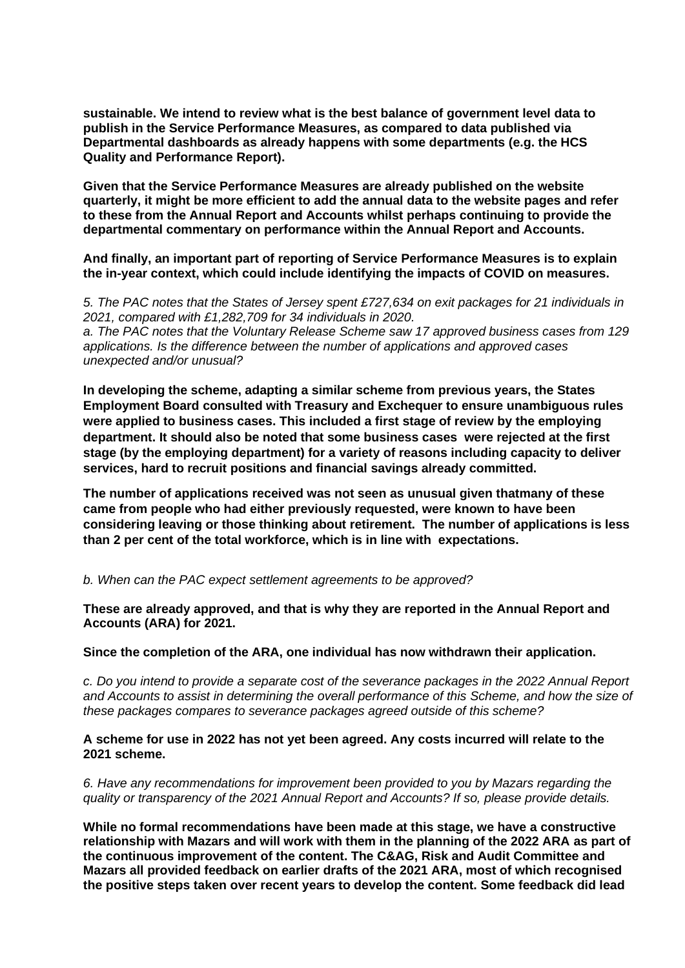**sustainable. We intend to review what is the best balance of government level data to publish in the Service Performance Measures, as compared to data published via Departmental dashboards as already happens with some departments (e.g. the HCS Quality and Performance Report).**

**Given that the Service Performance Measures are already published on the website quarterly, it might be more efficient to add the annual data to the website pages and refer to these from the Annual Report and Accounts whilst perhaps continuing to provide the departmental commentary on performance within the Annual Report and Accounts.**

**And finally, an important part of reporting of Service Performance Measures is to explain the in-year context, which could include identifying the impacts of COVID on measures.**

*5. The PAC notes that the States of Jersey spent £727,634 on exit packages for 21 individuals in 2021, compared with £1,282,709 for 34 individuals in 2020.* 

*a. The PAC notes that the Voluntary Release Scheme saw 17 approved business cases from 129 applications. Is the difference between the number of applications and approved cases unexpected and/or unusual?*

**In developing the scheme, adapting a similar scheme from previous years, the States Employment Board consulted with Treasury and Exchequer to ensure unambiguous rules were applied to business cases. This included a first stage of review by the employing department. It should also be noted that some business cases were rejected at the first stage (by the employing department) for a variety of reasons including capacity to deliver services, hard to recruit positions and financial savings already committed.**

**The number of applications received was not seen as unusual given thatmany of these came from people who had either previously requested, were known to have been considering leaving or those thinking about retirement. The number of applications is less than 2 per cent of the total workforce, which is in line with expectations.** 

*b. When can the PAC expect settlement agreements to be approved?*

**These are already approved, and that is why they are reported in the Annual Report and Accounts (ARA) for 2021.** 

**Since the completion of the ARA, one individual has now withdrawn their application.** 

*c. Do you intend to provide a separate cost of the severance packages in the 2022 Annual Report and Accounts to assist in determining the overall performance of this Scheme, and how the size of these packages compares to severance packages agreed outside of this scheme?*

**A scheme for use in 2022 has not yet been agreed. Any costs incurred will relate to the 2021 scheme.** 

*6. Have any recommendations for improvement been provided to you by Mazars regarding the quality or transparency of the 2021 Annual Report and Accounts? If so, please provide details.*

**While no formal recommendations have been made at this stage, we have a constructive relationship with Mazars and will work with them in the planning of the 2022 ARA as part of the continuous improvement of the content. The C&AG, Risk and Audit Committee and Mazars all provided feedback on earlier drafts of the 2021 ARA, most of which recognised the positive steps taken over recent years to develop the content. Some feedback did lead**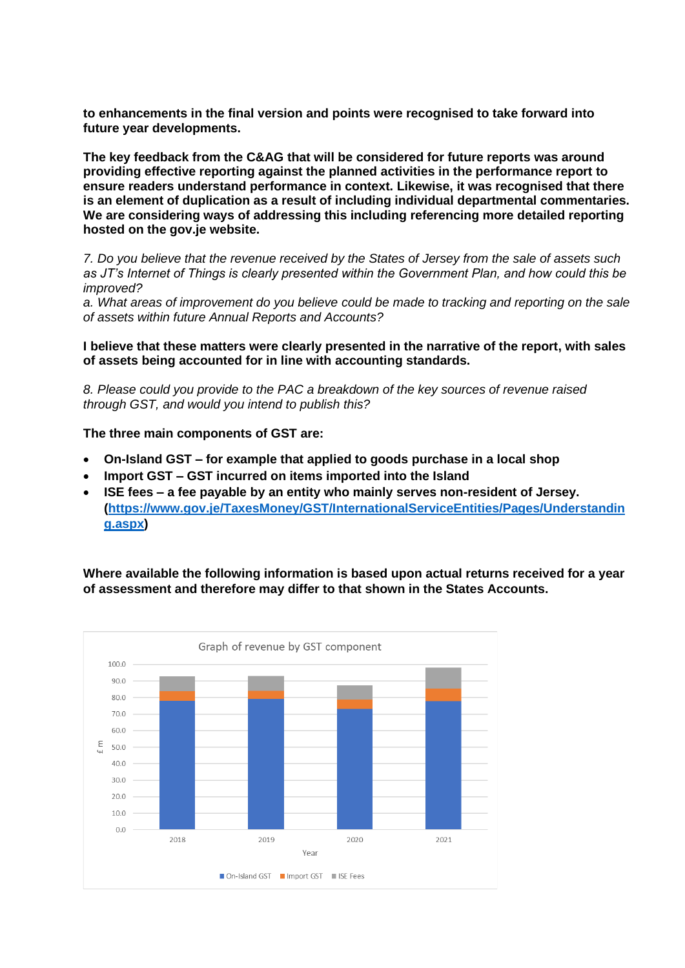**to enhancements in the final version and points were recognised to take forward into future year developments.**

**The key feedback from the C&AG that will be considered for future reports was around providing effective reporting against the planned activities in the performance report to ensure readers understand performance in context. Likewise, it was recognised that there is an element of duplication as a result of including individual departmental commentaries. We are considering ways of addressing this including referencing more detailed reporting hosted on the gov.je website.**

*7. Do you believe that the revenue received by the States of Jersey from the sale of assets such as JT's Internet of Things is clearly presented within the Government Plan, and how could this be improved?* 

*a. What areas of improvement do you believe could be made to tracking and reporting on the sale of assets within future Annual Reports and Accounts?*

#### **I believe that these matters were clearly presented in the narrative of the report, with sales of assets being accounted for in line with accounting standards.**

*8. Please could you provide to the PAC a breakdown of the key sources of revenue raised through GST, and would you intend to publish this?*

#### **The three main components of GST are:**

- **On-Island GST – for example that applied to goods purchase in a local shop**
- **Import GST – GST incurred on items imported into the Island**
- **ISE fees – a fee payable by an entity who mainly serves non-resident of Jersey. [\(https://www.gov.je/TaxesMoney/GST/InternationalServiceEntities/Pages/Understandin](https://www.gov.je/TaxesMoney/GST/InternationalServiceEntities/Pages/Understanding.aspx) [g.aspx\)](https://www.gov.je/TaxesMoney/GST/InternationalServiceEntities/Pages/Understanding.aspx)**

**Where available the following information is based upon actual returns received for a year of assessment and therefore may differ to that shown in the States Accounts.**

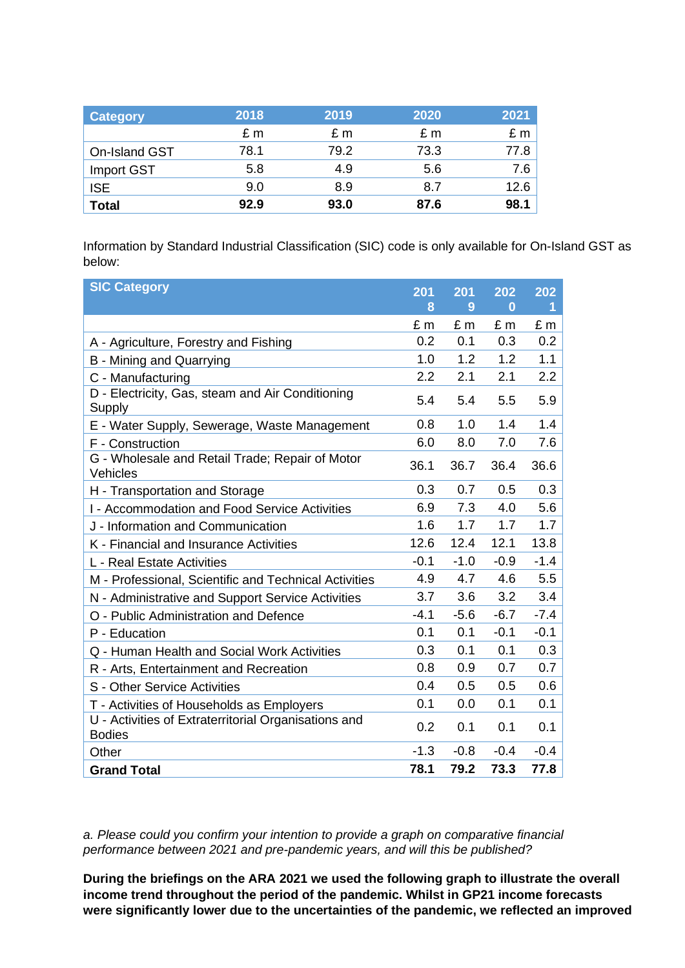| <b>Category</b>   | 2018 | 2019 | 2020 | 2021     |
|-------------------|------|------|------|----------|
|                   | £ m  | £ m  | £ m  | $E \, m$ |
| On-Island GST     | 78.1 | 79.2 | 73.3 | 77.8     |
| <b>Import GST</b> | 5.8  | 4.9  | 5.6  | 7.6 I    |
| <b>ISE</b>        | 9.0  | 8.9  | 8.7  | 12.6     |
| <b>Total</b>      | 92.9 | 93.0 | 87.6 | 98.1     |

Information by Standard Industrial Classification (SIC) code is only available for On-Island GST as below:

| <b>SIC Category</b>                                                   | 201  | 201    | 202      | 202    |
|-----------------------------------------------------------------------|------|--------|----------|--------|
|                                                                       | 8    | 9      | $\bf{0}$ | 1      |
|                                                                       | £ m  | £ m    | £ m      | £ m    |
| A - Agriculture, Forestry and Fishing                                 |      | 0.1    | 0.3      | 0.2    |
| B - Mining and Quarrying                                              |      | 1.2    | 1.2      | 1.1    |
| C - Manufacturing                                                     | 2.2  | 2.1    | 2.1      | 2.2    |
| D - Electricity, Gas, steam and Air Conditioning<br><b>Supply</b>     |      | 5.4    | 5.5      | 5.9    |
| E - Water Supply, Sewerage, Waste Management                          | 0.8  | 1.0    | 1.4      | 1.4    |
| F - Construction                                                      | 6.0  | 8.0    | 7.0      | 7.6    |
| G - Wholesale and Retail Trade; Repair of Motor<br>Vehicles           |      | 36.7   | 36.4     | 36.6   |
| H - Transportation and Storage                                        |      | 0.7    | 0.5      | 0.3    |
| I - Accommodation and Food Service Activities                         | 6.9  | 7.3    | 4.0      | 5.6    |
| J - Information and Communication                                     |      | 1.7    | 1.7      | 1.7    |
| K - Financial and Insurance Activities                                |      | 12.4   | 12.1     | 13.8   |
| L - Real Estate Activities                                            |      | $-1.0$ | $-0.9$   | $-1.4$ |
| M - Professional, Scientific and Technical Activities                 |      | 4.7    | 4.6      | 5.5    |
| N - Administrative and Support Service Activities                     |      | 3.6    | 3.2      | 3.4    |
| O - Public Administration and Defence                                 |      | $-5.6$ | $-6.7$   | $-7.4$ |
| P - Education                                                         |      | 0.1    | $-0.1$   | $-0.1$ |
| Q - Human Health and Social Work Activities                           | 0.3  | 0.1    | 0.1      | 0.3    |
| R - Arts, Entertainment and Recreation                                |      | 0.9    | 0.7      | 0.7    |
| S - Other Service Activities                                          |      | 0.5    | 0.5      | 0.6    |
| T - Activities of Households as Employers                             |      | 0.0    | 0.1      | 0.1    |
| U - Activities of Extraterritorial Organisations and<br><b>Bodies</b> |      | 0.1    | 0.1      | 0.1    |
| Other                                                                 |      | $-0.8$ | $-0.4$   | $-0.4$ |
| <b>Grand Total</b>                                                    | 78.1 | 79.2   | 73.3     | 77.8   |

*a. Please could you confirm your intention to provide a graph on comparative financial performance between 2021 and pre-pandemic years, and will this be published?*

**During the briefings on the ARA 2021 we used the following graph to illustrate the overall income trend throughout the period of the pandemic. Whilst in GP21 income forecasts were significantly lower due to the uncertainties of the pandemic, we reflected an improved**